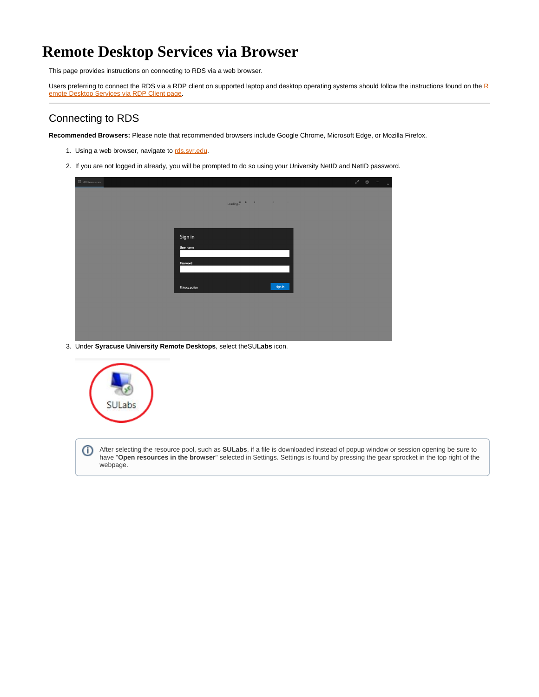## **Remote Desktop Services via Browser**

This page provides instructions on connecting to RDS via a web browser.

Users preferring to connect the [R](https://answers.syr.edu/x/GopDBg)DS via a RDP client on supported laptop and desktop operating systems should follow the instructions found on the  $\frac{R}{2}$ [emote Desktop Services via RDP Client page](https://answers.syr.edu/x/GopDBg).

## Connecting to RDS

**Recommended Browsers:** Please note that recommended browsers include Google Chrome, Microsoft Edge, or Mozilla Firefox.

- 1. Using a web browser, navigate to [rds.syr.edu.](https://rds.syr.edu)
- 2. If you are not logged in already, you will be prompted to do so using your University NetID and NetID password.

| : All Resources |                           | $\begin{array}{ccccccccccccc} \mathcal{S} & \mathbb{S} & \cdots & \mathbb{S} & \cdots & \mathbb{S} \end{array}$ |
|-----------------|---------------------------|-----------------------------------------------------------------------------------------------------------------|
|                 |                           |                                                                                                                 |
|                 |                           |                                                                                                                 |
|                 |                           |                                                                                                                 |
|                 |                           |                                                                                                                 |
|                 | Sign in                   |                                                                                                                 |
|                 | User name                 |                                                                                                                 |
|                 |                           |                                                                                                                 |
|                 | Password                  |                                                                                                                 |
|                 |                           |                                                                                                                 |
|                 | Sign in<br>Privacy policy |                                                                                                                 |
|                 |                           |                                                                                                                 |
|                 |                           |                                                                                                                 |
|                 |                           |                                                                                                                 |
|                 |                           |                                                                                                                 |

3. Under **Syracuse University Remote Desktops**, select theSU**Labs** icon.



After selecting the resource pool, such as **SULabs**, if a file is downloaded instead of popup window or session opening be sure to O have "**Open resources in the browser**" selected in Settings. Settings is found by pressing the gear sprocket in the top right of the webpage.